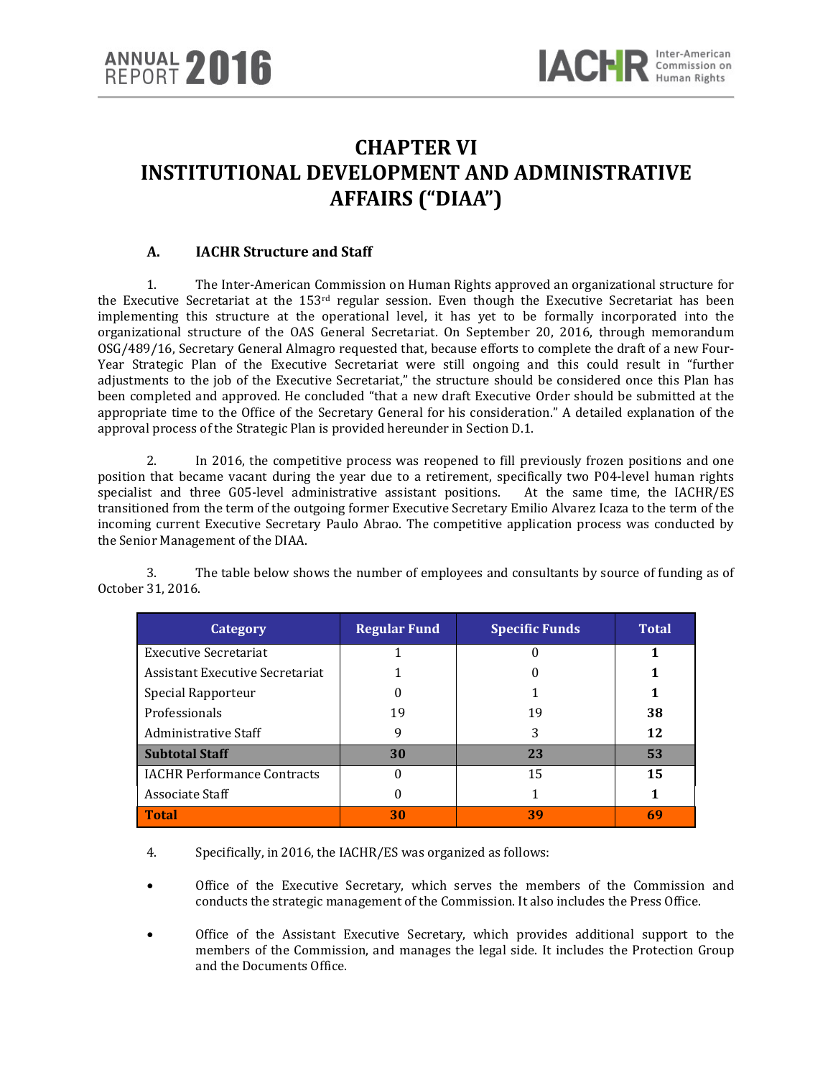# **CHAPTER VI INSTITUTIONAL DEVELOPMENT AND ADMINISTRATIVE AFFAIRS ("DIAA")**

# **A. IACHR Structure and Staff**

1. The Inter-American Commission on Human Rights approved an organizational structure for the Executive Secretariat at the 153<sup>rd</sup> regular session. Even though the Executive Secretariat has been implementing this structure at the operational level, it has yet to be formally incorporated into the organizational structure of the OAS General Secretariat. On September 20, 2016, through memorandum OSG/489/16, Secretary General Almagro requested that, because efforts to complete the draft of a new Four-Year Strategic Plan of the Executive Secretariat were still ongoing and this could result in "further adjustments to the job of the Executive Secretariat," the structure should be considered once this Plan has been completed and approved. He concluded "that a new draft Executive Order should be submitted at the appropriate time to the Office of the Secretary General for his consideration." A detailed explanation of the approval process of the Strategic Plan is provided hereunder in Section D.1.

2. In 2016, the competitive process was reopened to fill previously frozen positions and one position that became vacant during the year due to a retirement, specifically two P04-level human rights specialist and three G05-level administrative assistant positions. At the same time, the IACHR/ES specialist and three G05-level administrative assistant positions. transitioned from the term of the outgoing former Executive Secretary Emilio Alvarez Icaza to the term of the incoming current Executive Secretary Paulo Abrao. The competitive application process was conducted by the Senior Management of the DIAA.

3. The table below shows the number of employees and consultants by source of funding as of October 31, 2016.

| Category                           | <b>Regular Fund</b> | <b>Specific Funds</b> | <b>Total</b> |
|------------------------------------|---------------------|-----------------------|--------------|
| Executive Secretariat              |                     |                       |              |
| Assistant Executive Secretariat    |                     |                       |              |
| Special Rapporteur                 |                     |                       |              |
| Professionals                      | 19                  | 19                    | 38           |
| Administrative Staff               | 9                   | 3                     | 12           |
| <b>Subtotal Staff</b>              | 30                  | 23                    | 53           |
| <b>IACHR Performance Contracts</b> |                     | 15                    | 15           |
| Associate Staff                    |                     |                       |              |
| <b>Total</b>                       | 30                  | 39                    | 69           |

4. Specifically, in 2016, the IACHR/ES was organized as follows:

- Office of the Executive Secretary, which serves the members of the Commission and conducts the strategic management of the Commission. It also includes the Press Office.
- Office of the Assistant Executive Secretary, which provides additional support to the members of the Commission, and manages the legal side. It includes the Protection Group and the Documents Office.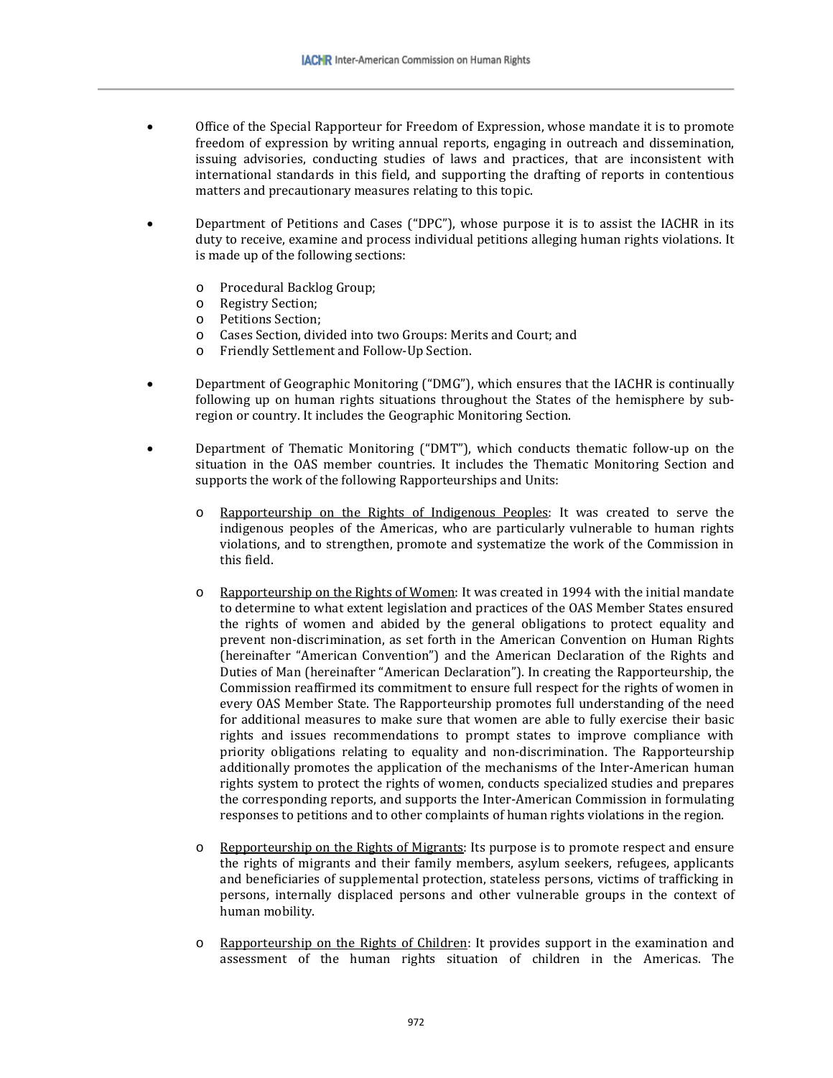- Office of the Special Rapporteur for Freedom of Expression, whose mandate it is to promote freedom of expression by writing annual reports, engaging in outreach and dissemination, issuing advisories, conducting studies of laws and practices, that are inconsistent with international standards in this field, and supporting the drafting of reports in contentious matters and precautionary measures relating to this topic.
- Department of Petitions and Cases ("DPC"), whose purpose it is to assist the IACHR in its duty to receive, examine and process individual petitions alleging human rights violations. It is made up of the following sections:
	- o Procedural Backlog Group;<br>
	o Registry Section:
	- o Registry Section;<br>o Petitions Section:
	- o Petitions Section;
	- o Cases Section, divided into two Groups: Merits and Court; and
	- Friendly Settlement and Follow-Up Section.
- Department of Geographic Monitoring ("DMG"), which ensures that the IACHR is continually following up on human rights situations throughout the States of the hemisphere by subregion or country. It includes the Geographic Monitoring Section.
- Department of Thematic Monitoring ("DMT"), which conducts thematic follow-up on the situation in the OAS member countries. It includes the Thematic Monitoring Section and supports the work of the following Rapporteurships and Units:
	- o Rapporteurship on the Rights of Indigenous Peoples: It was created to serve the indigenous peoples of the Americas, who are particularly vulnerable to human rights violations, and to strengthen, promote and systematize the work of the Commission in this field.
	- o Rapporteurship on the Rights of Women: It was created in 1994 with the initial mandate to determine to what extent legislation and practices of the OAS Member States ensured the rights of women and abided by the general obligations to protect equality and prevent non-discrimination, as set forth in the American Convention on Human Rights (hereinafter "American Convention") and the American Declaration of the Rights and Duties of Man (hereinafter "American Declaration"). In creating the Rapporteurship, the Commission reaffirmed its commitment to ensure full respect for the rights of women in every OAS Member State. The Rapporteurship promotes full understanding of the need for additional measures to make sure that women are able to fully exercise their basic rights and issues recommendations to prompt states to improve compliance with priority obligations relating to equality and non-discrimination. The Rapporteurship additionally promotes the application of the mechanisms of the Inter-American human rights system to protect the rights of women, conducts specialized studies and prepares the corresponding reports, and supports the Inter-American Commission in formulating responses to petitions and to other complaints of human rights violations in the region.
	- o Repporteurship on the Rights of Migrants: Its purpose is to promote respect and ensure the rights of migrants and their family members, asylum seekers, refugees, applicants and beneficiaries of supplemental protection, stateless persons, victims of trafficking in persons, internally displaced persons and other vulnerable groups in the context of human mobility.
	- o Rapporteurship on the Rights of Children: It provides support in the examination and assessment of the human rights situation of children in the Americas. The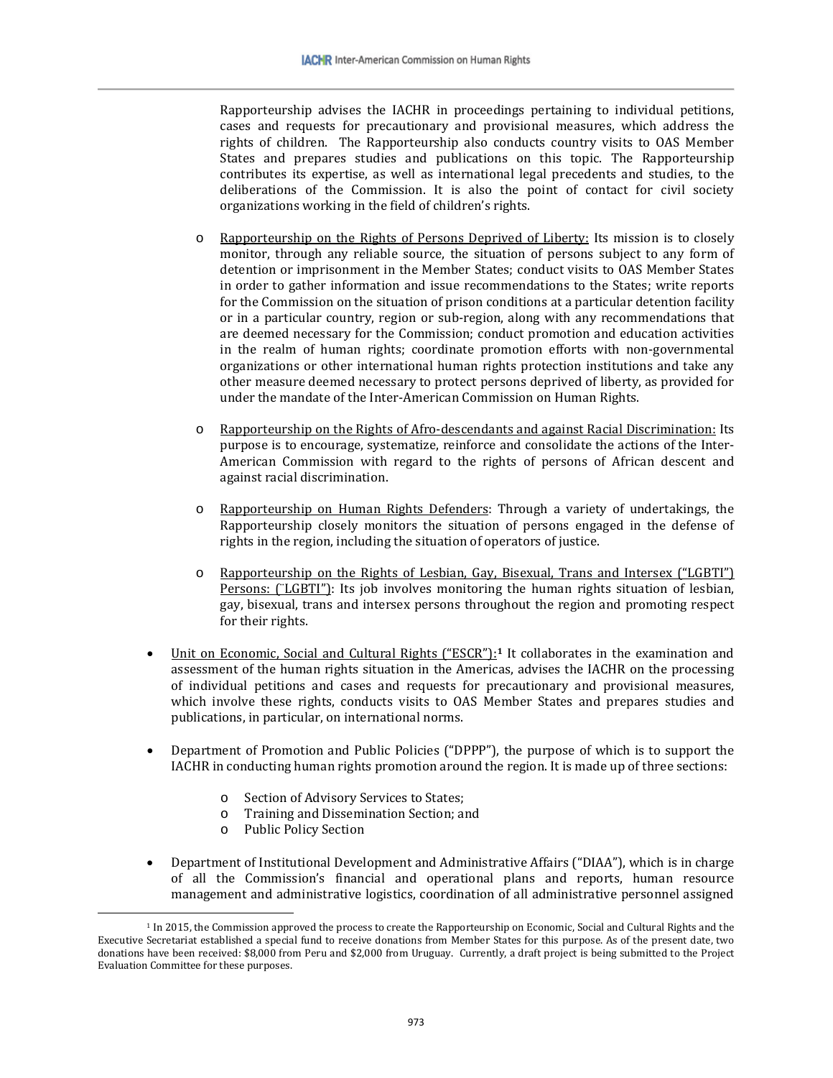Rapporteurship advises the IACHR in proceedings pertaining to individual petitions, cases and requests for precautionary and provisional measures, which address the rights of children. The Rapporteurship also conducts country visits to OAS Member States and prepares studies and publications on this topic. The Rapporteurship contributes its expertise, as well as international legal precedents and studies, to the deliberations of the Commission. It is also the point of contact for civil society organizations working in the field of children's rights.

- o Rapporteurship on the Rights of Persons Deprived of Liberty: Its mission is to closely monitor, through any reliable source, the situation of persons subject to any form of detention or imprisonment in the Member States; conduct visits to OAS Member States in order to gather information and issue recommendations to the States; write reports for the Commission on the situation of prison conditions at a particular detention facility or in a particular country, region or sub-region, along with any recommendations that are deemed necessary for the Commission; conduct promotion and education activities in the realm of human rights; coordinate promotion efforts with non-governmental organizations or other international human rights protection institutions and take any other measure deemed necessary to protect persons deprived of liberty, as provided for under the mandate of the Inter-American Commission on Human Rights.
- o Rapporteurship on the Rights of Afro-descendants and against Racial Discrimination: Its purpose is to encourage, systematize, reinforce and consolidate the actions of the Inter-American Commission with regard to the rights of persons of African descent and against racial discrimination.
- o Rapporteurship on Human Rights Defenders: Through a variety of undertakings, the Rapporteurship closely monitors the situation of persons engaged in the defense of rights in the region, including the situation of operators of justice.
- o Rapporteurship on the Rights of Lesbian, Gay, Bisexual, Trans and Intersex ("LGBTI") Persons: (¨LGBTI"): Its job involves monitoring the human rights situation of lesbian, gay, bisexual, trans and intersex persons throughout the region and promoting respect for their rights.
- Unit on Economic, Social and Cultural Rights ("ESCR"):**[1](#page-2-0)** It collaborates in the examination and assessment of the human rights situation in the Americas, advises the IACHR on the processing of individual petitions and cases and requests for precautionary and provisional measures, which involve these rights, conducts visits to OAS Member States and prepares studies and publications, in particular, on international norms.
- Department of Promotion and Public Policies ("DPPP"), the purpose of which is to support the IACHR in conducting human rights promotion around the region. It is made up of three sections:
	- o Section of Advisory Services to States;
	- o Training and Dissemination Section; and<br>
	o Public Policy Section
	- Public Policy Section

 $\overline{\phantom{a}}$ 

• Department of Institutional Development and Administrative Affairs ("DIAA"), which is in charge of all the Commission's financial and operational plans and reports, human resource management and administrative logistics, coordination of all administrative personnel assigned

<span id="page-2-0"></span><sup>&</sup>lt;sup>1</sup> In 2015, the Commission approved the process to create the Rapporteurship on Economic, Social and Cultural Rights and the Executive Secretariat established a special fund to receive donations from Member States for this purpose. As of the present date, two donations have been received: \$8,000 from Peru and \$2,000 from Uruguay. Currently, a draft project is being submitted to the Project Evaluation Committee for these purposes.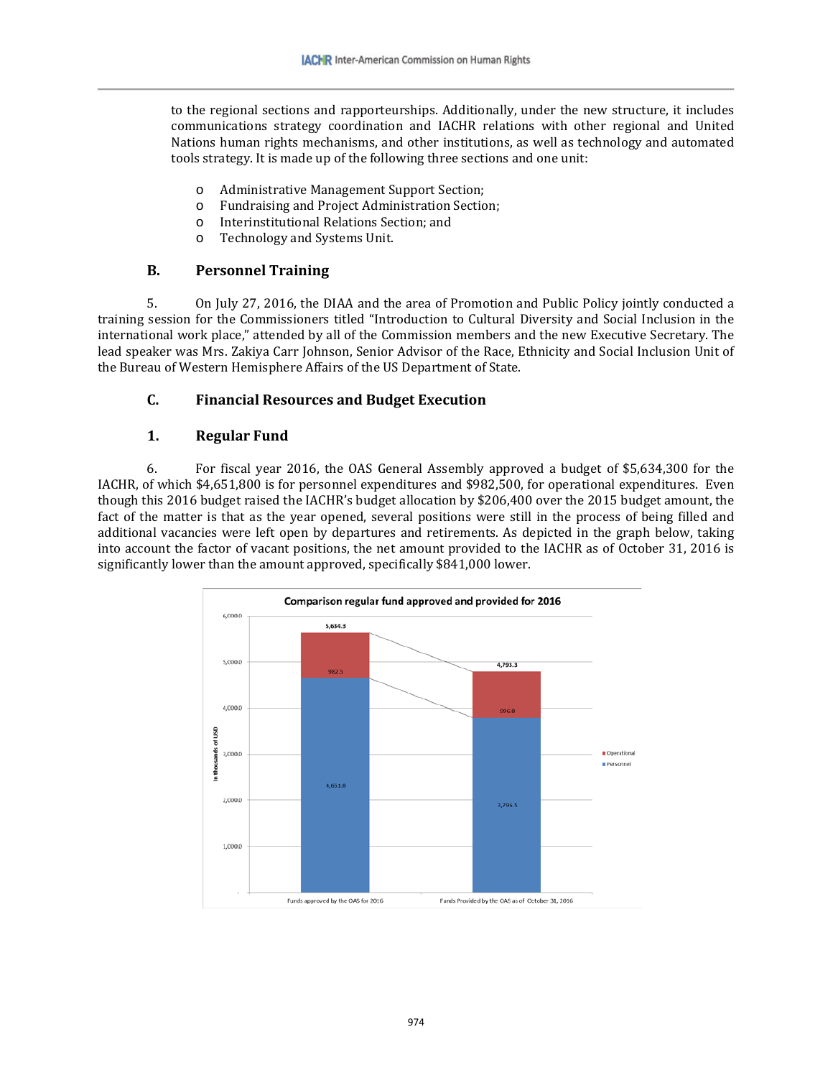to the regional sections and rapporteurships. Additionally, under the new structure, it includes communications strategy coordination and IACHR relations with other regional and United Nations human rights mechanisms, and other institutions, as well as technology and automated tools strategy. It is made up of the following three sections and one unit:

- o Administrative Management Support Section;
- o Fundraising and Project Administration Section;
- o Interinstitutional Relations Section; and<br>
o Technology and Systems Unit.
- Technology and Systems Unit.

# **B. Personnel Training**

5. On July 27, 2016, the DIAA and the area of Promotion and Public Policy jointly conducted a training session for the Commissioners titled "Introduction to Cultural Diversity and Social Inclusion in the international work place," attended by all of the Commission members and the new Executive Secretary. The lead speaker was Mrs. Zakiya Carr Johnson, Senior Advisor of the Race, Ethnicity and Social Inclusion Unit of the Bureau of Western Hemisphere Affairs of the US Department of State.

# **C. Financial Resources and Budget Execution**

# **1. Regular Fund**

6. For fiscal year 2016, the OAS General Assembly approved a budget of \$5,634,300 for the IACHR, of which \$4,651,800 is for personnel expenditures and \$982,500, for operational expenditures. Even though this 2016 budget raised the IACHR's budget allocation by \$206,400 over the 2015 budget amount, the fact of the matter is that as the year opened, several positions were still in the process of being filled and additional vacancies were left open by departures and retirements. As depicted in the graph below, taking into account the factor of vacant positions, the net amount provided to the IACHR as of October 31, 2016 is significantly lower than the amount approved, specifically \$841,000 lower.

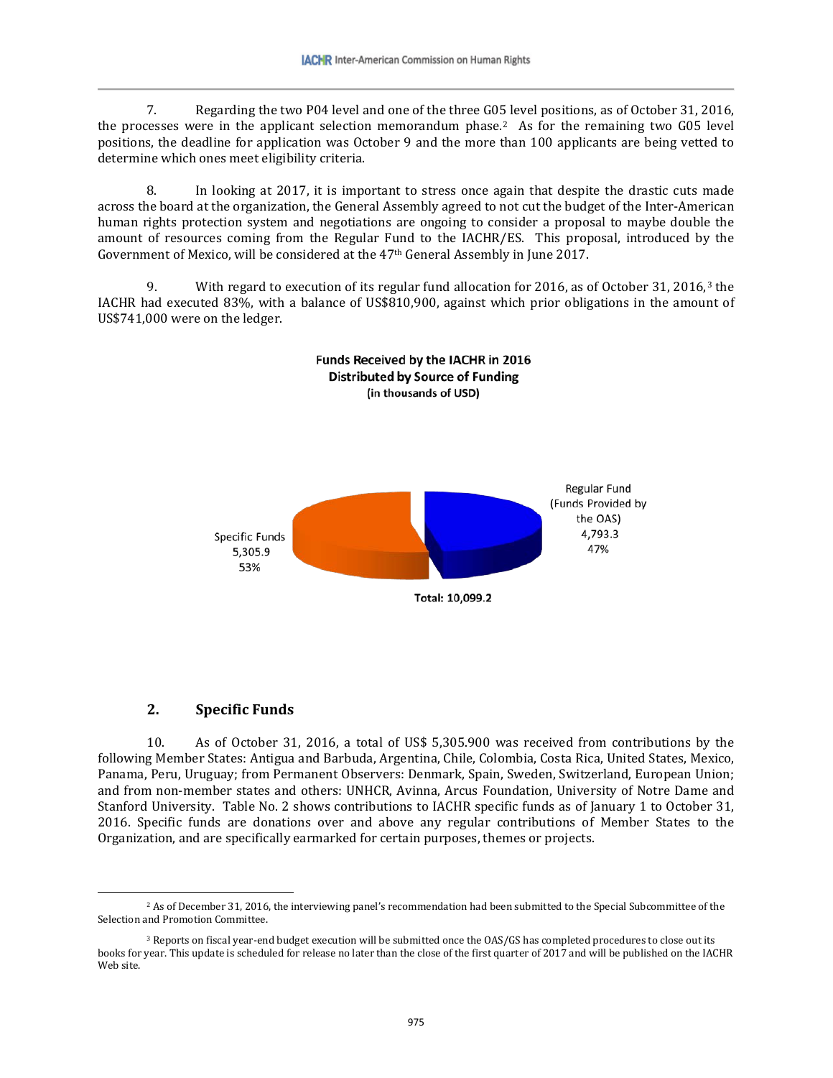7. Regarding the two P04 level and one of the three G05 level positions, as of October 31, 2016, the processes were in the applicant selection memorandum phase.[2](#page-4-0) As for the remaining two G05 level positions, the deadline for application was October 9 and the more than 100 applicants are being vetted to determine which ones meet eligibility criteria.

8. In looking at 2017, it is important to stress once again that despite the drastic cuts made across the board at the organization, the General Assembly agreed to not cut the budget of the Inter-American human rights protection system and negotiations are ongoing to consider a proposal to maybe double the amount of resources coming from the Regular Fund to the IACHR/ES. This proposal, introduced by the Government of Mexico, will be considered at the 47th General Assembly in June 2017.

9. With regard to execution of its regular fund allocation for 2016, as of October 31, 2016,[3](#page-4-1) the IACHR had executed 83%, with a balance of US\$810,900, against which prior obligations in the amount of US\$741,000 were on the ledger.



#### **2. Specific Funds**

 $\overline{\phantom{a}}$ 

10. As of October 31, 2016, a total of US\$ 5,305.900 was received from contributions by the following Member States: Antigua and Barbuda, Argentina, Chile, Colombia, Costa Rica, United States, Mexico, Panama, Peru, Uruguay; from Permanent Observers: Denmark, Spain, Sweden, Switzerland, European Union; and from non-member states and others: UNHCR, Avinna, Arcus Foundation, University of Notre Dame and Stanford University. Table No. 2 shows contributions to IACHR specific funds as of January 1 to October 31, 2016. Specific funds are donations over and above any regular contributions of Member States to the Organization, and are specifically earmarked for certain purposes, themes or projects.

<span id="page-4-0"></span><sup>&</sup>lt;sup>2</sup> As of December 31, 2016, the interviewing panel's recommendation had been submitted to the Special Subcommittee of the Selection and Promotion Committee.

<span id="page-4-1"></span><sup>&</sup>lt;sup>3</sup> Reports on fiscal year-end budget execution will be submitted once the OAS/GS has completed procedures to close out its books for year. This update is scheduled for release no later than the close of the first quarter of 2017 and will be published on the IACHR Web site.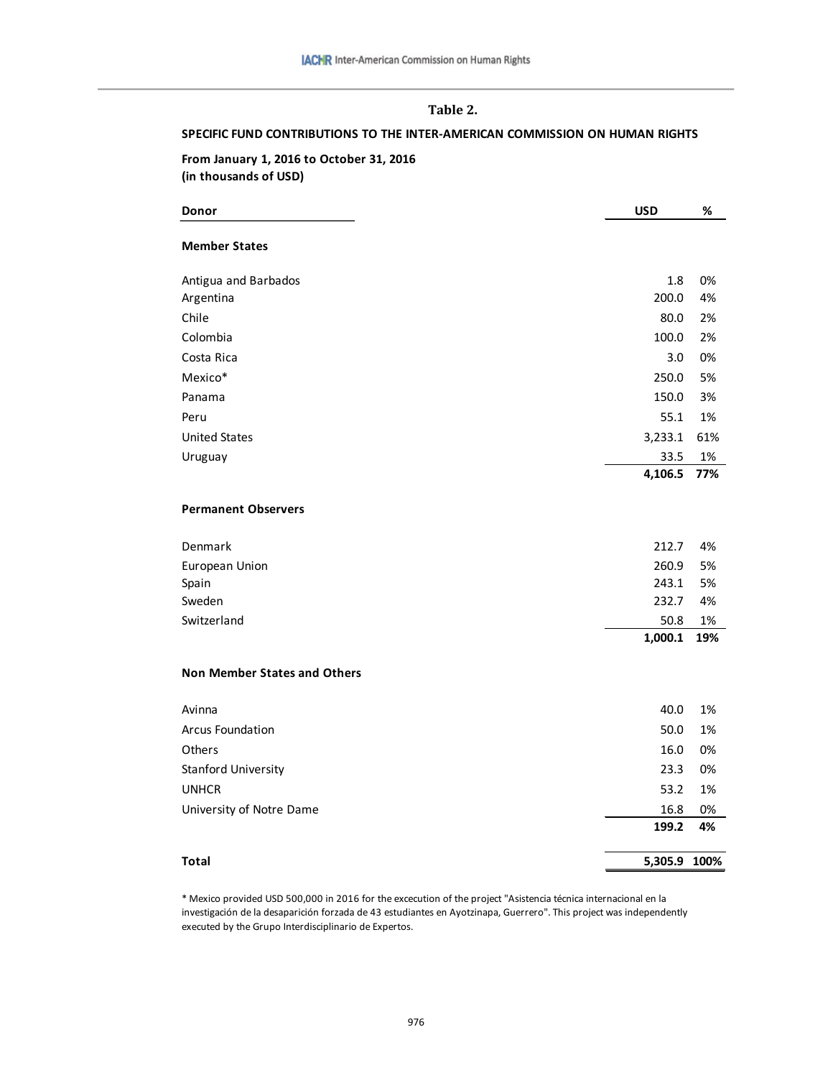# **Table 2.**

#### **SPECIFIC FUND CONTRIBUTIONS TO THE INTER-AMERICAN COMMISSION ON HUMAN RIGHTS**

#### **From January 1, 2016 to October 31, 2016 (in thousands of USD)**

| Donor                               | <b>USD</b>   | %   |
|-------------------------------------|--------------|-----|
| <b>Member States</b>                |              |     |
| Antigua and Barbados                | 1.8          | 0%  |
| Argentina                           | 200.0        | 4%  |
| Chile                               | 80.0         | 2%  |
| Colombia                            | 100.0        | 2%  |
| Costa Rica                          | 3.0          | 0%  |
| Mexico*                             | 250.0        | 5%  |
| Panama                              | 150.0        | 3%  |
| Peru                                | 55.1         | 1%  |
| <b>United States</b>                | 3,233.1      | 61% |
| Uruguay                             | 33.5         | 1%  |
|                                     | 4,106.5      | 77% |
| <b>Permanent Observers</b>          |              |     |
| Denmark                             | 212.7        | 4%  |
| European Union                      | 260.9        | 5%  |
| Spain                               | 243.1        | 5%  |
| Sweden                              | 232.7        | 4%  |
| Switzerland                         | 50.8         | 1%  |
|                                     | 1,000.1      | 19% |
| <b>Non Member States and Others</b> |              |     |
| Avinna                              | 40.0         | 1%  |
| Arcus Foundation                    | 50.0         | 1%  |
| Others                              | 16.0         | 0%  |
| Stanford University                 | 23.3         | 0%  |
| <b>UNHCR</b>                        | 53.2         | 1%  |
| University of Notre Dame            | 16.8         | 0%  |
|                                     | 199.2        | 4%  |
| <b>Total</b>                        | 5,305.9 100% |     |

\* Mexico provided USD 500,000 in 2016 for the excecution of the project "Asistencia técnica internacional en la investigación de la desaparición forzada de 43 estudiantes en Ayotzinapa, Guerrero". This project was independently executed by the Grupo Interdisciplinario de Expertos.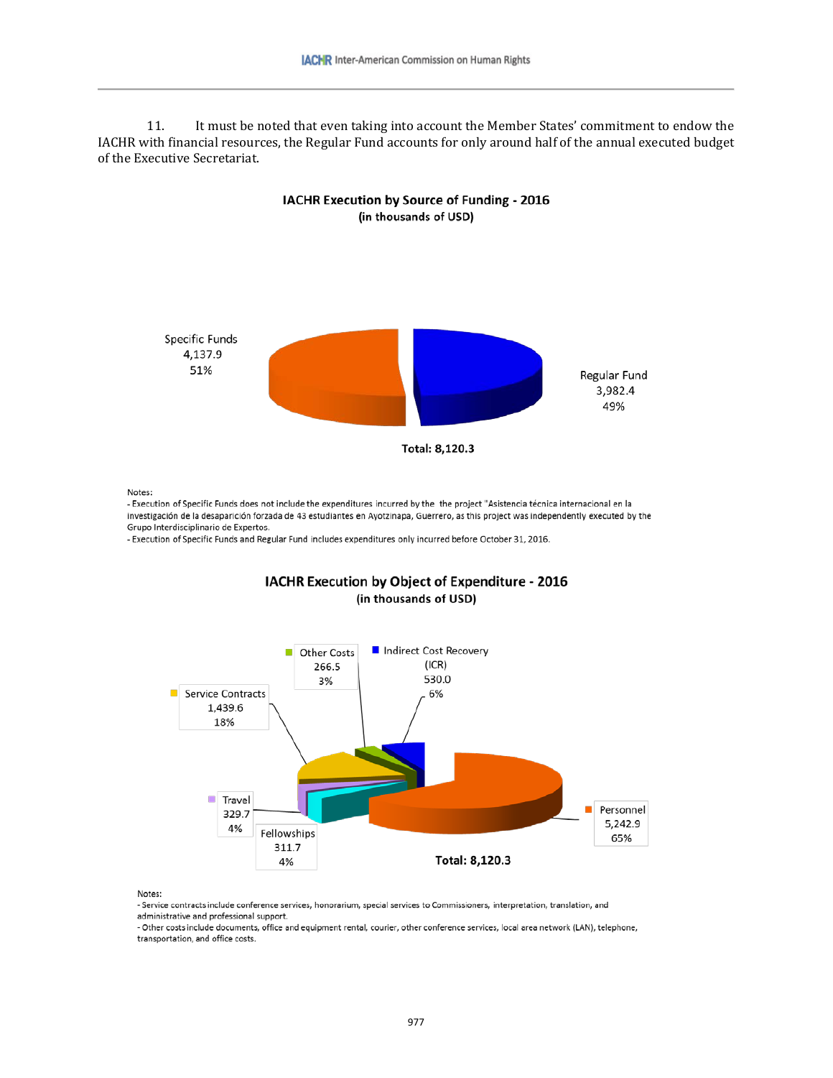11. It must be noted that even taking into account the Member States' commitment to endow the IACHR with financial resources, the Regular Fund accounts for only around half of the annual executed budget of the Executive Secretariat.

IACHR Execution by Source of Funding - 2016



Notes:

- Execution of Specific Funds does not include the expenditures incurred by the the project "Asistencia técnica internacional en la investigación de la desaparición forzada de 43 estudiantes en Ayotzinapa, Guerrero, as this project was independently executed by the Grupo Interdisciplinario de Expertos.

- Execution of Specific Funds and Regular Fund includes expenditures only incurred before October 31, 2016.



IACHR Execution by Object of Expenditure - 2016 (in thousands of USD)

Notes:

- Service contracts include conference services, honorarium, special services to Commissioners, interpretation, translation, and administrative and professional support.

- Other costs include documents, office and equipment rental, courier, other conference services, local area network (LAN), telephone, transportation, and office costs.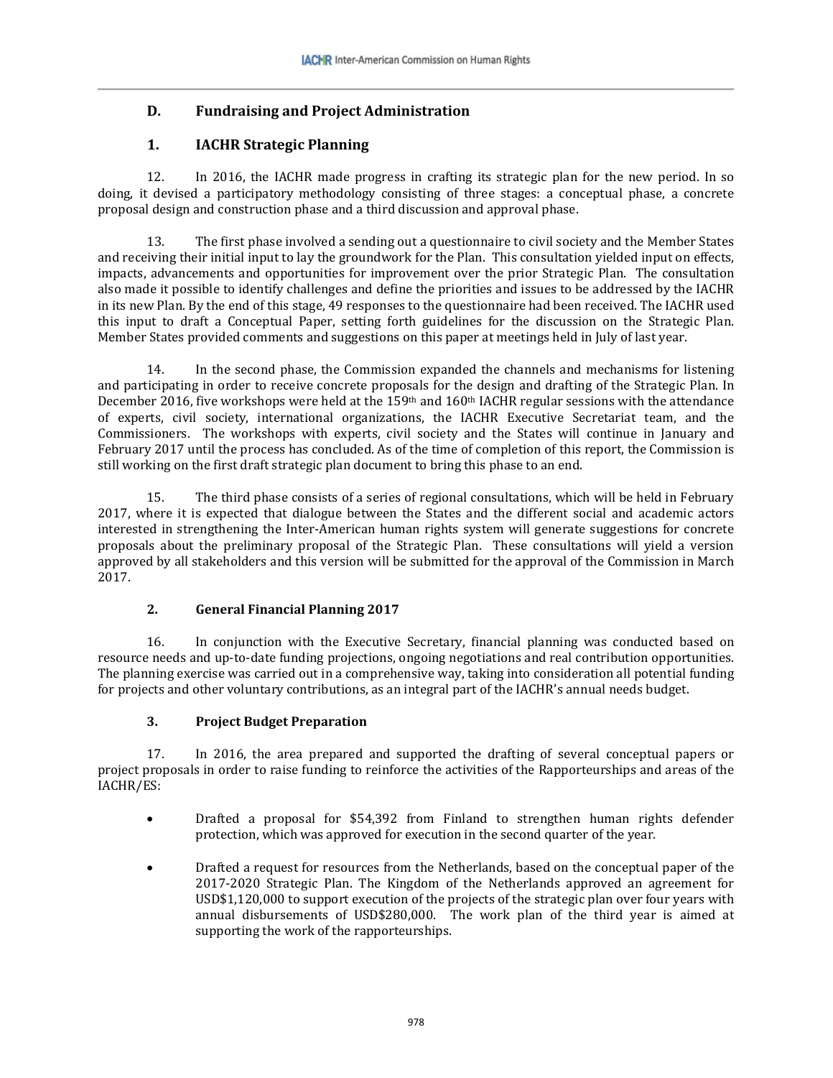# **D. Fundraising and Project Administration**

# **1. IACHR Strategic Planning**

12. In 2016, the IACHR made progress in crafting its strategic plan for the new period. In so doing, it devised a participatory methodology consisting of three stages: a conceptual phase, a concrete proposal design and construction phase and a third discussion and approval phase.

13. The first phase involved a sending out a questionnaire to civil society and the Member States and receiving their initial input to lay the groundwork for the Plan. This consultation yielded input on effects, impacts, advancements and opportunities for improvement over the prior Strategic Plan. The consultation also made it possible to identify challenges and define the priorities and issues to be addressed by the IACHR in its new Plan. By the end of this stage, 49 responses to the questionnaire had been received. The IACHR used this input to draft a Conceptual Paper, setting forth guidelines for the discussion on the Strategic Plan. Member States provided comments and suggestions on this paper at meetings held in July of last year.

14. In the second phase, the Commission expanded the channels and mechanisms for listening and participating in order to receive concrete proposals for the design and drafting of the Strategic Plan. In December 2016, five workshops were held at the 159<sup>th</sup> and 160<sup>th</sup> IACHR regular sessions with the attendance of experts, civil society, international organizations, the IACHR Executive Secretariat team, and the Commissioners. The workshops with experts, civil society and the States will continue in January and February 2017 until the process has concluded. As of the time of completion of this report, the Commission is still working on the first draft strategic plan document to bring this phase to an end.

15. The third phase consists of a series of regional consultations, which will be held in February 2017, where it is expected that dialogue between the States and the different social and academic actors interested in strengthening the Inter-American human rights system will generate suggestions for concrete proposals about the preliminary proposal of the Strategic Plan. These consultations will yield a version approved by all stakeholders and this version will be submitted for the approval of the Commission in March 2017.

# **2. General Financial Planning 2017**

16. In conjunction with the Executive Secretary, financial planning was conducted based on resource needs and up-to-date funding projections, ongoing negotiations and real contribution opportunities. The planning exercise was carried out in a comprehensive way, taking into consideration all potential funding for projects and other voluntary contributions, as an integral part of the IACHR's annual needs budget.

#### **3. Project Budget Preparation**

17. In 2016, the area prepared and supported the drafting of several conceptual papers or project proposals in order to raise funding to reinforce the activities of the Rapporteurships and areas of the IACHR/ES:

- Drafted a proposal for \$54,392 from Finland to strengthen human rights defender protection, which was approved for execution in the second quarter of the year.
- Drafted a request for resources from the Netherlands, based on the conceptual paper of the 2017-2020 Strategic Plan. The Kingdom of the Netherlands approved an agreement for USD\$1,120,000 to support execution of the projects of the strategic plan over four years with annual disbursements of USD\$280,000. The work plan of the third year is aimed at supporting the work of the rapporteurships.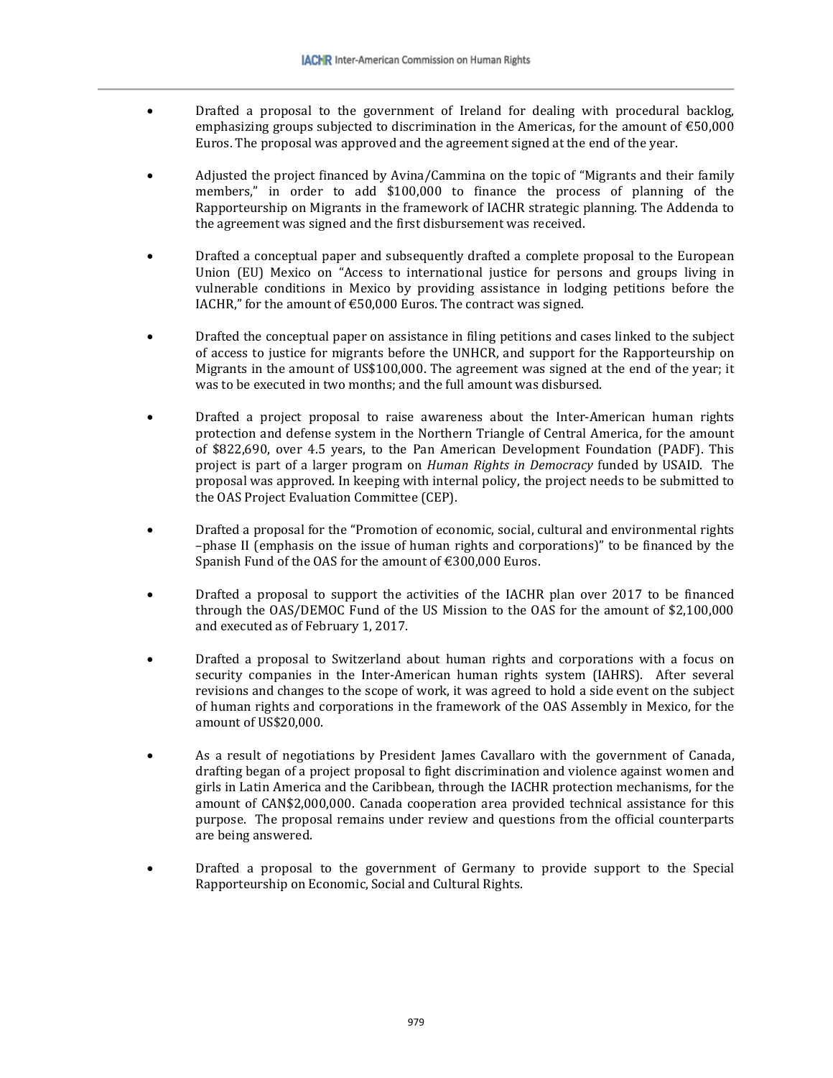- Drafted a proposal to the government of Ireland for dealing with procedural backlog, emphasizing groups subjected to discrimination in the Americas, for the amount of  $\text{\textsterling}50,000$ Euros. The proposal was approved and the agreement signed at the end of the year.
- Adjusted the project financed by Avina/Cammina on the topic of "Migrants and their family members," in order to add \$100,000 to finance the process of planning of the Rapporteurship on Migrants in the framework of IACHR strategic planning. The Addenda to the agreement was signed and the first disbursement was received.
- Drafted a conceptual paper and subsequently drafted a complete proposal to the European Union (EU) Mexico on "Access to international justice for persons and groups living in vulnerable conditions in Mexico by providing assistance in lodging petitions before the IACHR," for the amount of  $\epsilon$ 50,000 Euros. The contract was signed.
- Drafted the conceptual paper on assistance in filing petitions and cases linked to the subject of access to justice for migrants before the UNHCR, and support for the Rapporteurship on Migrants in the amount of US\$100,000. The agreement was signed at the end of the year; it was to be executed in two months; and the full amount was disbursed.
- Drafted a project proposal to raise awareness about the Inter-American human rights protection and defense system in the Northern Triangle of Central America, for the amount of \$822,690, over 4.5 years, to the Pan American Development Foundation (PADF). This project is part of a larger program on *Human Rights in Democracy* funded by USAID. The proposal was approved. In keeping with internal policy, the project needs to be submitted to the OAS Project Evaluation Committee (CEP).
- Drafted a proposal for the "Promotion of economic, social, cultural and environmental rights –phase II (emphasis on the issue of human rights and corporations)" to be financed by the Spanish Fund of the OAS for the amount of €300,000 Euros.
- Drafted a proposal to support the activities of the IACHR plan over 2017 to be financed through the OAS/DEMOC Fund of the US Mission to the OAS for the amount of \$2,100,000 and executed as of February 1, 2017.
- Drafted a proposal to Switzerland about human rights and corporations with a focus on security companies in the Inter-American human rights system (IAHRS). After several revisions and changes to the scope of work, it was agreed to hold a side event on the subject of human rights and corporations in the framework of the OAS Assembly in Mexico, for the amount of US\$20,000.
- As a result of negotiations by President James Cavallaro with the government of Canada, drafting began of a project proposal to fight discrimination and violence against women and girls in Latin America and the Caribbean, through the IACHR protection mechanisms, for the amount of CAN\$2,000,000. Canada cooperation area provided technical assistance for this purpose. The proposal remains under review and questions from the official counterparts are being answered.
- Drafted a proposal to the government of Germany to provide support to the Special Rapporteurship on Economic, Social and Cultural Rights.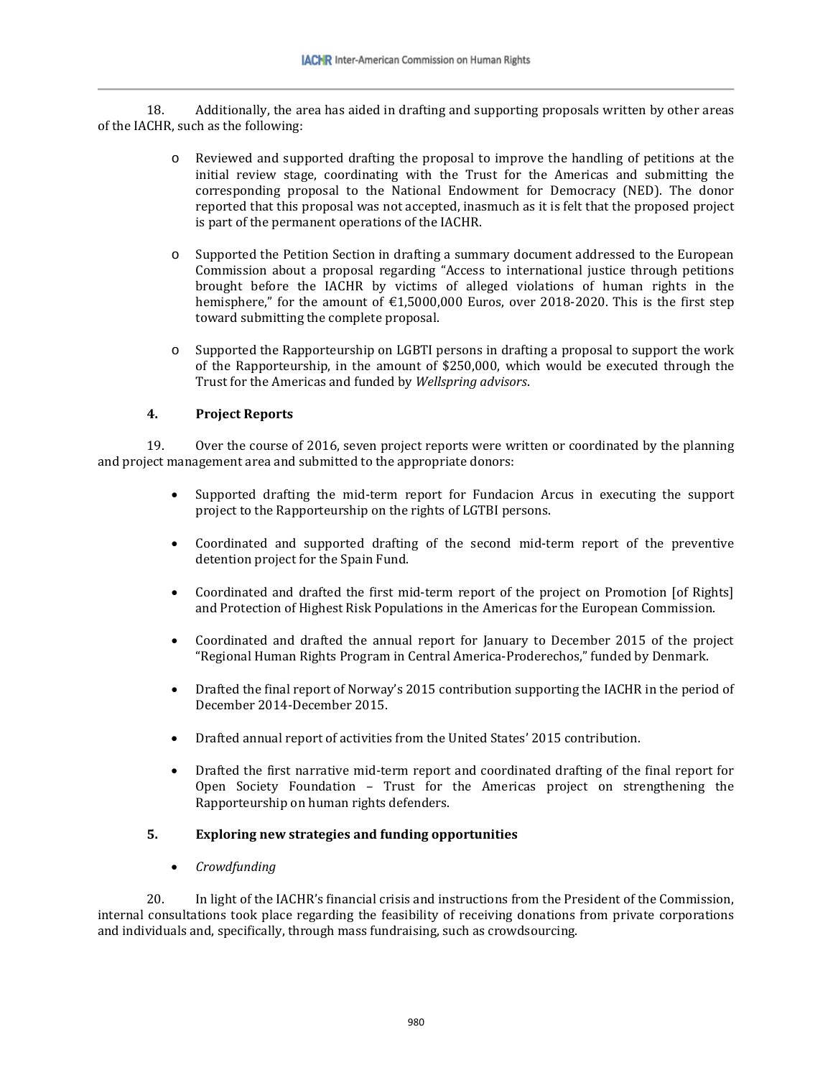18. Additionally, the area has aided in drafting and supporting proposals written by other areas of the IACHR, such as the following:

- o Reviewed and supported drafting the proposal to improve the handling of petitions at the initial review stage, coordinating with the Trust for the Americas and submitting the corresponding proposal to the National Endowment for Democracy (NED). The donor reported that this proposal was not accepted, inasmuch as it is felt that the proposed project is part of the permanent operations of the IACHR.
- o Supported the Petition Section in drafting a summary document addressed to the European Commission about a proposal regarding "Access to international justice through petitions brought before the IACHR by victims of alleged violations of human rights in the hemisphere," for the amount of €1,5000,000 Euros, over 2018-2020. This is the first step toward submitting the complete proposal.
- o Supported the Rapporteurship on LGBTI persons in drafting a proposal to support the work of the Rapporteurship, in the amount of \$250,000, which would be executed through the Trust for the Americas and funded by *Wellspring advisors*.

#### **4. Project Reports**

19. Over the course of 2016, seven project reports were written or coordinated by the planning and project management area and submitted to the appropriate donors:

- Supported drafting the mid-term report for Fundacion Arcus in executing the support project to the Rapporteurship on the rights of LGTBI persons.
- Coordinated and supported drafting of the second mid-term report of the preventive detention project for the Spain Fund.
- Coordinated and drafted the first mid-term report of the project on Promotion [of Rights] and Protection of Highest Risk Populations in the Americas for the European Commission.
- Coordinated and drafted the annual report for January to December 2015 of the project "Regional Human Rights Program in Central America-Proderechos," funded by Denmark.
- Drafted the final report of Norway's 2015 contribution supporting the IACHR in the period of December 2014-December 2015.
- Drafted annual report of activities from the United States' 2015 contribution.
- Drafted the first narrative mid-term report and coordinated drafting of the final report for Open Society Foundation – Trust for the Americas project on strengthening the Rapporteurship on human rights defenders.

#### **5. Exploring new strategies and funding opportunities**

• *Crowdfunding*

20. In light of the IACHR's financial crisis and instructions from the President of the Commission, internal consultations took place regarding the feasibility of receiving donations from private corporations and individuals and, specifically, through mass fundraising, such as crowdsourcing.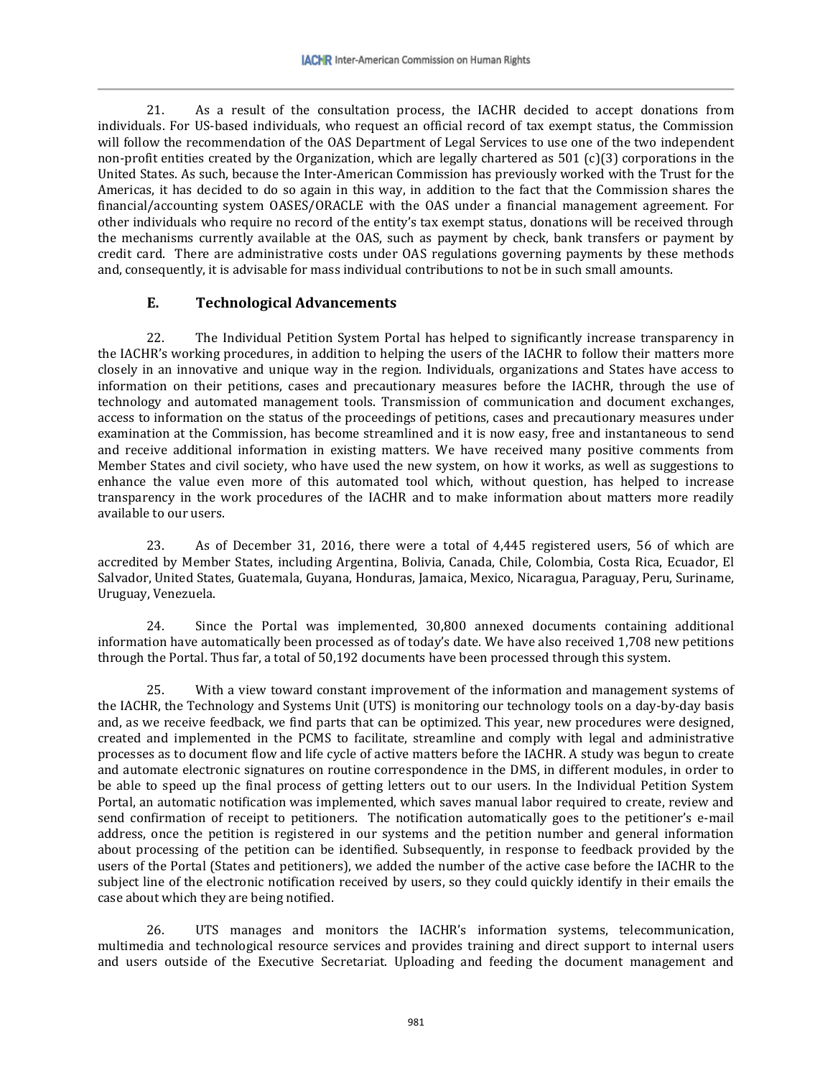21. As a result of the consultation process, the IACHR decided to accept donations from individuals. For US-based individuals, who request an official record of tax exempt status, the Commission will follow the recommendation of the OAS Department of Legal Services to use one of the two independent non-profit entities created by the Organization, which are legally chartered as 501 (c)(3) corporations in the United States. As such, because the Inter-American Commission has previously worked with the Trust for the Americas, it has decided to do so again in this way, in addition to the fact that the Commission shares the financial/accounting system OASES/ORACLE with the OAS under a financial management agreement. For other individuals who require no record of the entity's tax exempt status, donations will be received through the mechanisms currently available at the OAS, such as payment by check, bank transfers or payment by credit card. There are administrative costs under OAS regulations governing payments by these methods and, consequently, it is advisable for mass individual contributions to not be in such small amounts.

# **E. Technological Advancements**

22. The Individual Petition System Portal has helped to significantly increase transparency in the IACHR's working procedures, in addition to helping the users of the IACHR to follow their matters more closely in an innovative and unique way in the region. Individuals, organizations and States have access to information on their petitions, cases and precautionary measures before the IACHR, through the use of technology and automated management tools. Transmission of communication and document exchanges, access to information on the status of the proceedings of petitions, cases and precautionary measures under examination at the Commission, has become streamlined and it is now easy, free and instantaneous to send and receive additional information in existing matters. We have received many positive comments from Member States and civil society, who have used the new system, on how it works, as well as suggestions to enhance the value even more of this automated tool which, without question, has helped to increase transparency in the work procedures of the IACHR and to make information about matters more readily available to our users.

23. As of December 31, 2016, there were a total of 4,445 registered users, 56 of which are accredited by Member States, including Argentina, Bolivia, Canada, Chile, Colombia, Costa Rica, Ecuador, El Salvador, United States, Guatemala, Guyana, Honduras, Jamaica, Mexico, Nicaragua, Paraguay, Peru, Suriname, Uruguay, Venezuela.

24. Since the Portal was implemented, 30,800 annexed documents containing additional information have automatically been processed as of today's date. We have also received 1,708 new petitions through the Portal. Thus far, a total of 50,192 documents have been processed through this system.

25. With a view toward constant improvement of the information and management systems of the IACHR, the Technology and Systems Unit (UTS) is monitoring our technology tools on a day-by-day basis and, as we receive feedback, we find parts that can be optimized. This year, new procedures were designed, created and implemented in the PCMS to facilitate, streamline and comply with legal and administrative processes as to document flow and life cycle of active matters before the IACHR. A study was begun to create and automate electronic signatures on routine correspondence in the DMS, in different modules, in order to be able to speed up the final process of getting letters out to our users. In the Individual Petition System Portal, an automatic notification was implemented, which saves manual labor required to create, review and send confirmation of receipt to petitioners. The notification automatically goes to the petitioner's e-mail address, once the petition is registered in our systems and the petition number and general information about processing of the petition can be identified. Subsequently, in response to feedback provided by the users of the Portal (States and petitioners), we added the number of the active case before the IACHR to the subject line of the electronic notification received by users, so they could quickly identify in their emails the case about which they are being notified.

26. UTS manages and monitors the IACHR's information systems, telecommunication, multimedia and technological resource services and provides training and direct support to internal users and users outside of the Executive Secretariat. Uploading and feeding the document management and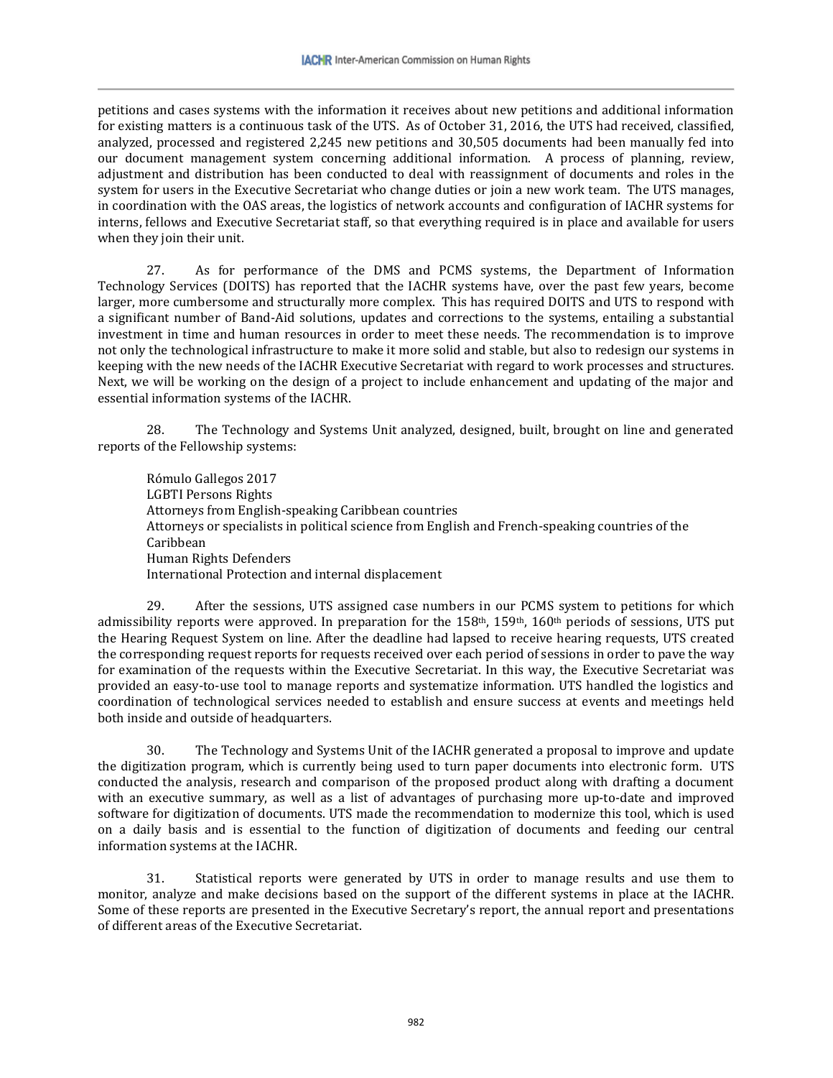petitions and cases systems with the information it receives about new petitions and additional information for existing matters is a continuous task of the UTS. As of October 31, 2016, the UTS had received, classified, analyzed, processed and registered 2,245 new petitions and 30,505 documents had been manually fed into our document management system concerning additional information. A process of planning, review, adjustment and distribution has been conducted to deal with reassignment of documents and roles in the system for users in the Executive Secretariat who change duties or join a new work team. The UTS manages, in coordination with the OAS areas, the logistics of network accounts and configuration of IACHR systems for interns, fellows and Executive Secretariat staff, so that everything required is in place and available for users when they join their unit.

27. As for performance of the DMS and PCMS systems, the Department of Information Technology Services (DOITS) has reported that the IACHR systems have, over the past few years, become larger, more cumbersome and structurally more complex. This has required DOITS and UTS to respond with a significant number of Band-Aid solutions, updates and corrections to the systems, entailing a substantial investment in time and human resources in order to meet these needs. The recommendation is to improve not only the technological infrastructure to make it more solid and stable, but also to redesign our systems in keeping with the new needs of the IACHR Executive Secretariat with regard to work processes and structures. Next, we will be working on the design of a project to include enhancement and updating of the major and essential information systems of the IACHR.

28. The Technology and Systems Unit analyzed, designed, built, brought on line and generated reports of the Fellowship systems:

Rómulo Gallegos 2017 LGBTI Persons Rights Attorneys from English-speaking Caribbean countries Attorneys or specialists in political science from English and French-speaking countries of the Caribbean Human Rights Defenders International Protection and internal displacement

29. After the sessions, UTS assigned case numbers in our PCMS system to petitions for which admissibility reports were approved. In preparation for the 158<sup>th</sup>, 159<sup>th</sup>, 160<sup>th</sup> periods of sessions, UTS put the Hearing Request System on line. After the deadline had lapsed to receive hearing requests, UTS created the corresponding request reports for requests received over each period of sessions in order to pave the way for examination of the requests within the Executive Secretariat. In this way, the Executive Secretariat was provided an easy-to-use tool to manage reports and systematize information. UTS handled the logistics and coordination of technological services needed to establish and ensure success at events and meetings held both inside and outside of headquarters.

30. The Technology and Systems Unit of the IACHR generated a proposal to improve and update the digitization program, which is currently being used to turn paper documents into electronic form. UTS conducted the analysis, research and comparison of the proposed product along with drafting a document with an executive summary, as well as a list of advantages of purchasing more up-to-date and improved software for digitization of documents. UTS made the recommendation to modernize this tool, which is used on a daily basis and is essential to the function of digitization of documents and feeding our central information systems at the IACHR.

31. Statistical reports were generated by UTS in order to manage results and use them to monitor, analyze and make decisions based on the support of the different systems in place at the IACHR. Some of these reports are presented in the Executive Secretary's report, the annual report and presentations of different areas of the Executive Secretariat.